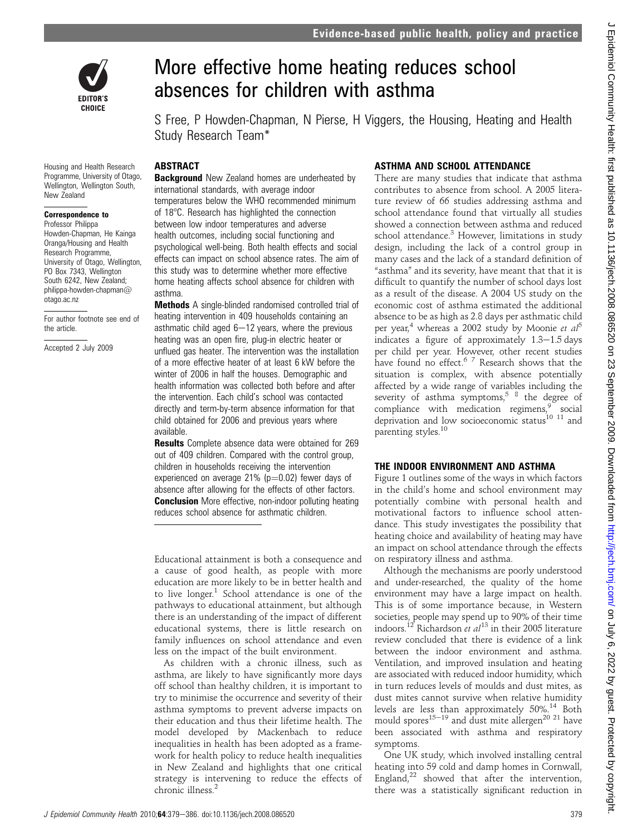

# More effective home heating reduces school absences for children with asthma

S Free, P Howden-Chapman, N Pierse, H Viggers, the Housing, Heating and Health Study Research Team\*

## **ABSTRACT**

**Background** New Zealand homes are underheated by international standards, with average indoor temperatures below the WHO recommended minimum of 18°C. Research has highlighted the connection between low indoor temperatures and adverse health outcomes, including social functioning and psychological well-being. Both health effects and social effects can impact on school absence rates. The aim of this study was to determine whether more effective home heating affects school absence for children with asthma.

Methods A single-blinded randomised controlled trial of heating intervention in 409 households containing an asthmatic child aged  $6-12$  years, where the previous heating was an open fire, plug-in electric heater or unflued gas heater. The intervention was the installation of a more effective heater of at least 6 kW before the winter of 2006 in half the houses. Demographic and health information was collected both before and after the intervention. Each child's school was contacted directly and term-by-term absence information for that child obtained for 2006 and previous years where available.

**Results** Complete absence data were obtained for 269 out of 409 children. Compared with the control group, children in households receiving the intervention experienced on average  $21\%$  (p=0.02) fewer days of absence after allowing for the effects of other factors. **Conclusion** More effective, non-indoor polluting heating reduces school absence for asthmatic children.

Educational attainment is both a consequence and a cause of good health, as people with more education are more likely to be in better health and to live longer.<sup>1</sup> School attendance is one of the pathways to educational attainment, but although there is an understanding of the impact of different educational systems, there is little research on family influences on school attendance and even less on the impact of the built environment.

As children with a chronic illness, such as asthma, are likely to have significantly more days off school than healthy children, it is important to try to minimise the occurrence and severity of their asthma symptoms to prevent adverse impacts on their education and thus their lifetime health. The model developed by Mackenbach to reduce inequalities in health has been adopted as a framework for health policy to reduce health inequalities in New Zealand and highlights that one critical strategy is intervening to reduce the effects of chronic illness.<sup>2</sup>

## ASTHMA AND SCHOOL ATTENDANCE

There are many studies that indicate that asthma contributes to absence from school. A 2005 literature review of 66 studies addressing asthma and school attendance found that virtually all studies showed a connection between asthma and reduced school attendance.<sup>3</sup> However, limitations in study design, including the lack of a control group in many cases and the lack of a standard definition of "asthma" and its severity, have meant that that it is difficult to quantify the number of school days lost as a result of the disease. A 2004 US study on the economic cost of asthma estimated the additional absence to be as high as 2.8 days per asthmatic child per year,<sup>4</sup> whereas a 2002 study by Moonie et  $al^5$ indicates a figure of approximately  $1.3-1.5$  days per child per year. However, other recent studies have found no effect. $67$  Research shows that the situation is complex, with absence potentially affected by a wide range of variables including the severity of asthma symptoms, $58$  the degree of compliance with medication regimens, $9^\circ$  social deprivation and low socioeconomic status<sup>10</sup> <sup>11</sup> and parenting styles.10

#### THE INDOOR ENVIRONMENT AND ASTHMA

Figure 1 outlines some of the ways in which factors in the child's home and school environment may potentially combine with personal health and motivational factors to influence school attendance. This study investigates the possibility that heating choice and availability of heating may have an impact on school attendance through the effects on respiratory illness and asthma.

Although the mechanisms are poorly understood and under-researched, the quality of the home environment may have a large impact on health. This is of some importance because, in Western societies, people may spend up to 90% of their time indoors.<sup>12</sup> Richardson et  $al^{13}$  in their 2005 literature review concluded that there is evidence of a link between the indoor environment and asthma. Ventilation, and improved insulation and heating are associated with reduced indoor humidity, which in turn reduces levels of moulds and dust mites, as dust mites cannot survive when relative humidity levels are less than approximately 50%.<sup>14</sup> Both mould spores<sup>15-19</sup> and dust mite allergen<sup>20 21</sup> have been associated with asthma and respiratory symptoms.

One UK study, which involved installing central heating into 59 cold and damp homes in Cornwall, England, $^{22}$  showed that after the intervention, there was a statistically significant reduction in

Housing and Health Research Programme, University of Otago, Wellington, Wellington South, New Zealand

#### Correspondence to

Professor Philippa Howden-Chapman, He Kainga Oranga/Housing and Health Research Programme, University of Otago, Wellington, PO Box 7343, Wellington South 6242, New Zealand; philippa-howden-chapman@ otago.ac.nz

For author footnote see end of the article.

Accepted 2 July 2009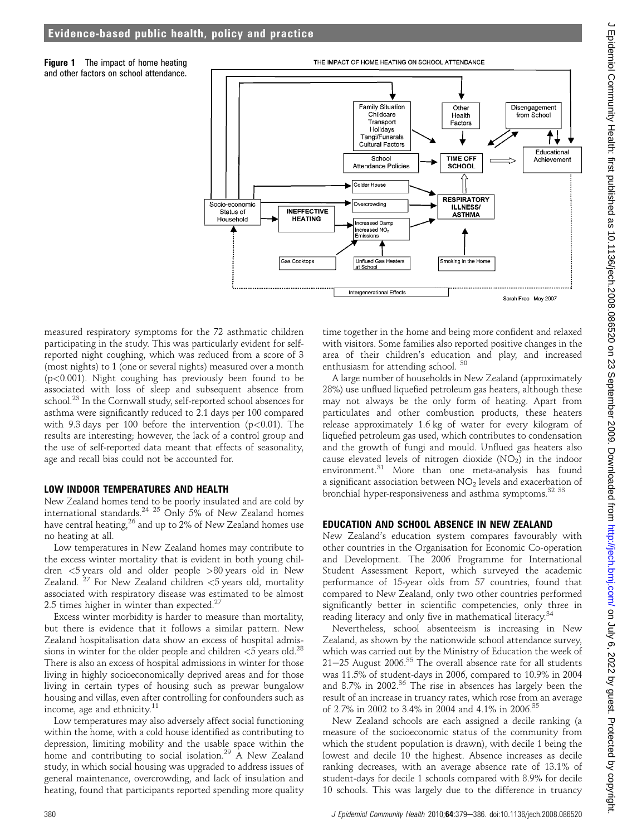**Figure 1** The impact of home heating and other factors on school attendance.



measured respiratory symptoms for the 72 asthmatic children participating in the study. This was particularly evident for selfreported night coughing, which was reduced from a score of 3 (most nights) to 1 (one or several nights) measured over a month (p<0.001). Night coughing has previously been found to be associated with loss of sleep and subsequent absence from school.<sup>23</sup> In the Cornwall study, self-reported school absences for asthma were significantly reduced to 2.1 days per 100 compared with 9.3 days per 100 before the intervention  $(p<0.01)$ . The results are interesting; however, the lack of a control group and the use of self-reported data meant that effects of seasonality, age and recall bias could not be accounted for.

#### LOW INDOOR TEMPERATURES AND HEALTH

New Zealand homes tend to be poorly insulated and are cold by international standards.<sup>24</sup> <sup>25</sup> Only 5% of New Zealand homes have central heating,<sup>26</sup> and up to 2% of New Zealand homes use no heating at all.

Low temperatures in New Zealand homes may contribute to the excess winter mortality that is evident in both young children <5 years old and older people >80 years old in New Zealand.  $27$  For New Zealand children  $\lt 5$  years old, mortality associated with respiratory disease was estimated to be almost 2.5 times higher in winter than expected. $27$ 

Excess winter morbidity is harder to measure than mortality, but there is evidence that it follows a similar pattern. New Zealand hospitalisation data show an excess of hospital admissions in winter for the older people and children  $<\!5$  years old.  $^{28}$ There is also an excess of hospital admissions in winter for those living in highly socioeconomically deprived areas and for those living in certain types of housing such as prewar bungalow housing and villas, even after controlling for confounders such as income, age and ethnicity.<sup>11</sup>

Low temperatures may also adversely affect social functioning within the home, with a cold house identified as contributing to depression, limiting mobility and the usable space within the home and contributing to social isolation.<sup>29</sup> A New Zealand study, in which social housing was upgraded to address issues of general maintenance, overcrowding, and lack of insulation and heating, found that participants reported spending more quality

time together in the home and being more confident and relaxed with visitors. Some families also reported positive changes in the area of their children's education and play, and increased enthusiasm for attending school. <sup>30</sup>

A large number of households in New Zealand (approximately 28%) use unflued liquefied petroleum gas heaters, although these may not always be the only form of heating. Apart from particulates and other combustion products, these heaters release approximately 1.6 kg of water for every kilogram of liquefied petroleum gas used, which contributes to condensation and the growth of fungi and mould. Unflued gas heaters also cause elevated levels of nitrogen dioxide  $(NO<sub>2</sub>)$  in the indoor environment.<sup>31</sup> More than one meta-analysis has found a significant association between  $NO<sub>2</sub>$  levels and exacerbation of bronchial hyper-responsiveness and asthma symptoms.<sup>32 33</sup>

### EDUCATION AND SCHOOL ABSENCE IN NEW ZEALAND

New Zealand's education system compares favourably with other countries in the Organisation for Economic Co-operation and Development. The 2006 Programme for International Student Assessment Report, which surveyed the academic performance of 15-year olds from 57 countries, found that compared to New Zealand, only two other countries performed significantly better in scientific competencies, only three in reading literacy and only five in mathematical literacy.<sup>34</sup>

Nevertheless, school absenteeism is increasing in New Zealand, as shown by the nationwide school attendance survey, which was carried out by the Ministry of Education the week of 21-25 August 2006.<sup>35</sup> The overall absence rate for all students was 11.5% of student-days in 2006, compared to 10.9% in 2004 and 8.7% in 2002.<sup>36</sup> The rise in absences has largely been the result of an increase in truancy rates, which rose from an average of 2.7% in 2002 to 3.4% in 2004 and 4.1% in 2006.<sup>35</sup>

New Zealand schools are each assigned a decile ranking (a measure of the socioeconomic status of the community from which the student population is drawn), with decile 1 being the lowest and decile 10 the highest. Absence increases as decile ranking decreases, with an average absence rate of 13.1% of student-days for decile 1 schools compared with 8.9% for decile 10 schools. This was largely due to the difference in truancy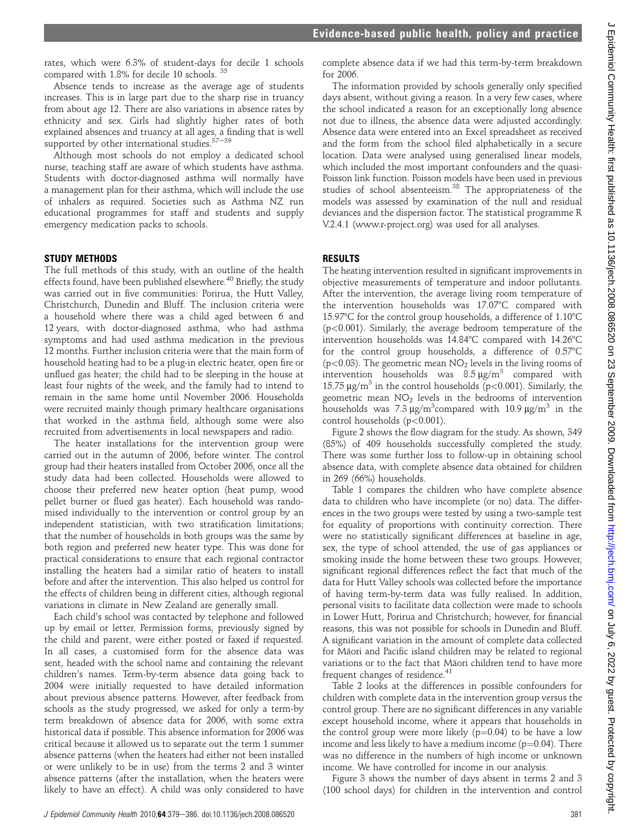rates, which were 6.3% of student-days for decile 1 schools compared with 1.8% for decile 10 schools.<sup>35</sup>

Absence tends to increase as the average age of students increases. This is in large part due to the sharp rise in truancy from about age 12. There are also variations in absence rates by ethnicity and sex. Girls had slightly higher rates of both explained absences and truancy at all ages, a finding that is well supported by other international studies. $37-39$ 

Although most schools do not employ a dedicated school nurse, teaching staff are aware of which students have asthma. Students with doctor-diagnosed asthma will normally have a management plan for their asthma, which will include the use of inhalers as required. Societies such as Asthma NZ run educational programmes for staff and students and supply emergency medication packs to schools.

#### STUDY METHODS

The full methods of this study, with an outline of the health effects found, have been published elsewhere.<sup>40</sup> Briefly, the study was carried out in five communities: Porirua, the Hutt Valley, Christchurch, Dunedin and Bluff. The inclusion criteria were a household where there was a child aged between 6 and 12 years, with doctor-diagnosed asthma, who had asthma symptoms and had used asthma medication in the previous 12 months. Further inclusion criteria were that the main form of household heating had to be a plug-in electric heater, open fire or unflued gas heater; the child had to be sleeping in the house at least four nights of the week, and the family had to intend to remain in the same home until November 2006. Households were recruited mainly though primary healthcare organisations that worked in the asthma field, although some were also recruited from advertisements in local newspapers and radio.

The heater installations for the intervention group were carried out in the autumn of 2006, before winter. The control group had their heaters installed from October 2006, once all the study data had been collected. Households were allowed to choose their preferred new heater option (heat pump, wood pellet burner or flued gas heater). Each household was randomised individually to the intervention or control group by an independent statistician, with two stratification limitations; that the number of households in both groups was the same by both region and preferred new heater type. This was done for practical considerations to ensure that each regional contractor installing the heaters had a similar ratio of heaters to install before and after the intervention. This also helped us control for the effects of children being in different cities, although regional variations in climate in New Zealand are generally small.

Each child's school was contacted by telephone and followed up by email or letter. Permission forms, previously signed by the child and parent, were either posted or faxed if requested. In all cases, a customised form for the absence data was sent, headed with the school name and containing the relevant children's names. Term-by-term absence data going back to 2004 were initially requested to have detailed information about previous absence patterns. However, after feedback from schools as the study progressed, we asked for only a term-by term breakdown of absence data for 2006, with some extra historical data if possible. This absence information for 2006 was critical because it allowed us to separate out the term 1 summer absence patterns (when the heaters had either not been installed or were unlikely to be in use) from the terms 2 and 3 winter absence patterns (after the installation, when the heaters were likely to have an effect). A child was only considered to have complete absence data if we had this term-by-term breakdown for 2006.

The information provided by schools generally only specified days absent, without giving a reason. In a very few cases, where the school indicated a reason for an exceptionally long absence not due to illness, the absence data were adjusted accordingly. Absence data were entered into an Excel spreadsheet as received and the form from the school filed alphabetically in a secure location. Data were analysed using generalised linear models, which included the most important confounders and the quasi-Poisson link function. Poisson models have been used in previous studies of school absenteeism.<sup>38</sup> The appropriateness of the models was assessed by examination of the null and residual deviances and the dispersion factor. The statistical programme R V.2.4.1 (www.r-project.org) was used for all analyses.

#### RESULTS

The heating intervention resulted in significant improvements in objective measurements of temperature and indoor pollutants. After the intervention, the average living room temperature of the intervention households was 17.07°C compared with 15.97°C for the control group households, a difference of  $1.10^{\circ}$ C  $(p<0.001)$ . Similarly, the average bedroom temperature of the intervention households was  $14.84^{\circ}$ C compared with  $14.26^{\circ}$ C for the control group households, a difference of  $0.57^{\circ}$ C ( $p$ <0.03). The geometric mean  $NO<sub>2</sub>$  levels in the living rooms of intervention households was  $8.5 \mu g/m^3$  compared with 15.75  $\mu$ g/m<sup>3</sup> in the control households (p<0.001). Similarly, the geometric mean  $NO<sub>2</sub>$  levels in the bedrooms of intervention households was  $7.3 \mu g/m^3$ compared with  $10.9 \mu g/m^3$  in the control households (p<0.001).

Figure 2 shows the flow diagram for the study. As shown, 349 (85%) of 409 households successfully completed the study. There was some further loss to follow-up in obtaining school absence data, with complete absence data obtained for children in 269 (66%) households.

Table 1 compares the children who have complete absence data to children who have incomplete (or no) data. The differences in the two groups were tested by using a two-sample test for equality of proportions with continuity correction. There were no statistically significant differences at baseline in age, sex, the type of school attended, the use of gas appliances or smoking inside the home between these two groups. However, significant regional differences reflect the fact that much of the data for Hutt Valley schools was collected before the importance of having term-by-term data was fully realised. In addition, personal visits to facilitate data collection were made to schools in Lower Hutt, Porirua and Christchurch; however, for financial reasons, this was not possible for schools in Dunedin and Bluff. A significant variation in the amount of complete data collected for Maori and Pacific island children may be related to regional variations or to the fact that Maori children tend to have more frequent changes of residence.<sup>41</sup>

Table 2 looks at the differences in possible confounders for children with complete data in the intervention group versus the control group. There are no significant differences in any variable except household income, where it appears that households in the control group were more likely  $(p=0.04)$  to be have a low income and less likely to have a medium income  $(p=0.04)$ . There was no difference in the numbers of high income or unknown income. We have controlled for income in our analysis.

Figure 3 shows the number of days absent in terms 2 and 3 (100 school days) for children in the intervention and control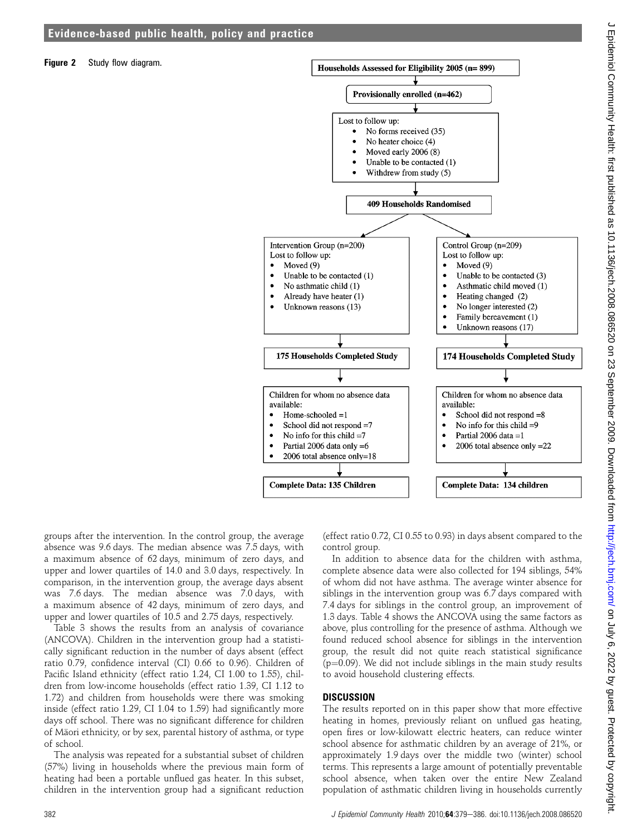

## Evidence-based public health, policy and practice

## **Figure 2** Study flow diagram.

Households Assessed for Eligibility 2005 (n= 899)



groups after the intervention. In the control group, the average absence was 9.6 days. The median absence was 7.5 days, with a maximum absence of 62 days, minimum of zero days, and upper and lower quartiles of 14.0 and 3.0 days, respectively. In comparison, in the intervention group, the average days absent was 7.6 days. The median absence was 7.0 days, with a maximum absence of 42 days, minimum of zero days, and upper and lower quartiles of 10.5 and 2.75 days, respectively.

Table 3 shows the results from an analysis of covariance (ANCOVA). Children in the intervention group had a statistically significant reduction in the number of days absent (effect ratio 0.79, confidence interval (CI) 0.66 to 0.96). Children of Pacific Island ethnicity (effect ratio 1.24, CI 1.00 to 1.55), children from low-income households (effect ratio 1.39, CI 1.12 to 1.72) and children from households were there was smoking inside (effect ratio 1.29, CI 1.04 to 1.59) had significantly more days off school. There was no significant difference for children of Maori ethnicity, or by sex, parental history of asthma, or type of school.

The analysis was repeated for a substantial subset of children (57%) living in households where the previous main form of heating had been a portable unflued gas heater. In this subset, children in the intervention group had a significant reduction

(effect ratio 0.72, CI 0.55 to 0.93) in days absent compared to the control group.

In addition to absence data for the children with asthma, complete absence data were also collected for 194 siblings, 54% of whom did not have asthma. The average winter absence for siblings in the intervention group was 6.7 days compared with 7.4 days for siblings in the control group, an improvement of 1.3 days. Table 4 shows the ANCOVA using the same factors as above, plus controlling for the presence of asthma. Although we found reduced school absence for siblings in the intervention group, the result did not quite reach statistical significance  $(p=0.09)$ . We did not include siblings in the main study results to avoid household clustering effects.

## **DISCUSSION**

The results reported on in this paper show that more effective heating in homes, previously reliant on unflued gas heating, open fires or low-kilowatt electric heaters, can reduce winter school absence for asthmatic children by an average of 21%, or approximately 1.9 days over the middle two (winter) school terms. This represents a large amount of potentially preventable school absence, when taken over the entire New Zealand population of asthmatic children living in households currently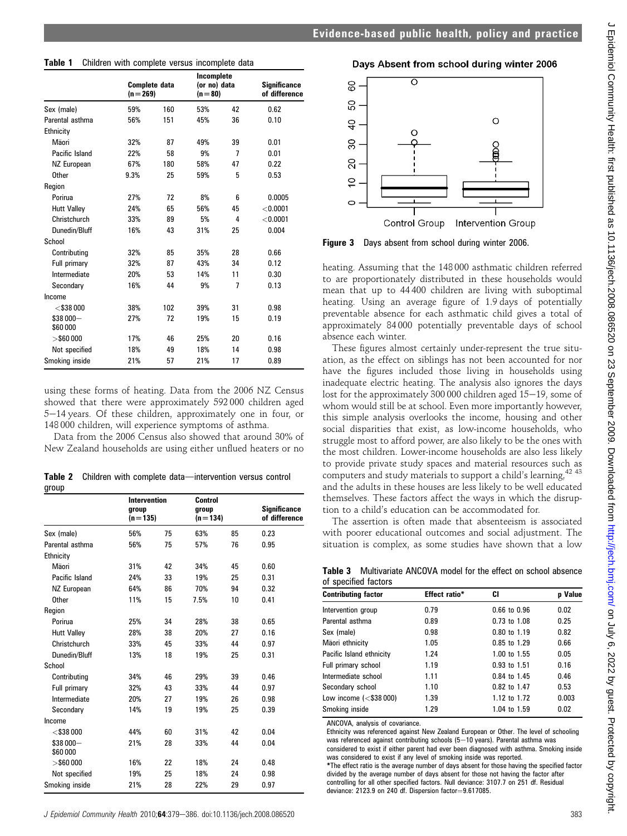|  |  | Table 1 Children with complete versus incomplete data |  |  |
|--|--|-------------------------------------------------------|--|--|
|--|--|-------------------------------------------------------|--|--|

|                       | $(n=269)$ | <b>Complete data</b> | Incomplete<br>(or no) data<br>$(n = 80)$ |                | <b>Significance</b><br>of difference |
|-----------------------|-----------|----------------------|------------------------------------------|----------------|--------------------------------------|
| Sex (male)            | 59%       | 160                  | 53%                                      | 42             | 0.62                                 |
| Parental asthma       | 56%       | 151                  | 45%                                      | 36             | 0.10                                 |
| Ethnicity             |           |                      |                                          |                |                                      |
| Maori                 | 32%       | 87                   | 49%                                      | 39             | 0.01                                 |
| Pacific Island        | 22%       | 58                   | 9%                                       | $\overline{1}$ | 0.01                                 |
| NZ European           | 67%       | 180                  | 58%                                      | 47             | 0.22                                 |
| <b>Other</b>          | 9.3%      | 25                   | 59%                                      | 5              | 0.53                                 |
| Region                |           |                      |                                          |                |                                      |
| Porirua               | 27%       | 72                   | 8%                                       | 6              | 0.0005                               |
| <b>Hutt Vallev</b>    | 24%       | 65                   | 56%                                      | 45             | < 0.0001                             |
| Christchurch          | 33%       | 89                   | 5%                                       | 4              | < 0.0001                             |
| Dunedin/Bluff         | 16%       | 43                   | 31%                                      | 25             | 0.004                                |
| School                |           |                      |                                          |                |                                      |
| Contributing          | 32%       | 85                   | 35%                                      | 28             | 0.66                                 |
| Full primary          | 32%       | 87                   | 43%                                      | 34             | 0.12                                 |
| Intermediate          | 20%       | 53                   | 14%                                      | 11             | 0.30                                 |
| Secondary             | 16%       | 44                   | 9%                                       | $\overline{1}$ | 0.13                                 |
| Income                |           |                      |                                          |                |                                      |
| $<$ \$38 000          | 38%       | 102                  | 39%                                      | 31             | 0.98                                 |
| $$38000-$<br>\$60 000 | 27%       | 72                   | 19%                                      | 15             | 0.19                                 |
| $>$ \$60 000          | 17%       | 46                   | 25%                                      | 20             | 0.16                                 |
| Not specified         | 18%       | 49                   | 18%                                      | 14             | 0.98                                 |
| Smoking inside        | 21%       | 57                   | 21%                                      | 17             | 0.89                                 |

using these forms of heating. Data from the 2006 NZ Census showed that there were approximately 592 000 children aged 5-14 years. Of these children, approximately one in four, or 148 000 children, will experience symptoms of asthma.

Data from the 2006 Census also showed that around 30% of New Zealand households are using either unflued heaters or no

**Table 2** Children with complete data—intervention versus control group

|                       | <b>Intervention</b><br>group<br>$(n=135)$ |    | Control<br>group<br>$(n=134)$ | Significance<br>of difference |      |
|-----------------------|-------------------------------------------|----|-------------------------------|-------------------------------|------|
| Sex (male)            | 56%                                       | 75 | 63%                           | 85                            | 0.23 |
| Parental asthma       | 56%                                       | 75 | 57%                           | 76                            | 0.95 |
| Ethnicity             |                                           |    |                               |                               |      |
| Māori                 | 31%                                       | 42 | 34%                           | 45                            | 0.60 |
| Pacific Island        | 24%                                       | 33 | 19%                           | 25                            | 0.31 |
| NZ European           | 64%                                       | 86 | 70%                           | 94                            | 0.32 |
| <b>Other</b>          | 11%                                       | 15 | 7.5%                          | 10                            | 0.41 |
| Region                |                                           |    |                               |                               |      |
| Porirua               | 25%                                       | 34 | 28%                           | 38                            | 0.65 |
| <b>Hutt Valley</b>    | 28%                                       | 38 | 20%                           | 27                            | 0.16 |
| Christchurch          | 33%                                       | 45 | 33%                           | 44                            | 0.97 |
| Dunedin/Bluff         | 13%                                       | 18 | 19%                           | 25                            | 0.31 |
| School                |                                           |    |                               |                               |      |
| Contributing          | 34%                                       | 46 | 29%                           | 39                            | 0.46 |
| Full primary          | 32%                                       | 43 | 33%                           | 44                            | 0.97 |
| Intermediate          | 20%                                       | 27 | 19%                           | 26                            | 0.98 |
| Secondary             | 14%                                       | 19 | 19%                           | 25                            | 0.39 |
| Income                |                                           |    |                               |                               |      |
| $<$ \$38 000          | 44%                                       | 60 | 31%                           | 42                            | 0.04 |
| \$38 000-<br>\$60 000 | 21%                                       | 28 | 33%                           | 44                            | 0.04 |
| $>$ \$60 000          | 16%                                       | 22 | 18%                           | 24                            | 0.48 |
| Not specified         | 19%                                       | 25 | 18%                           | 24                            | 0.98 |
| Smoking inside        | 21%                                       | 28 | 22%                           | 29                            | 0.97 |

Days Absent from school during winter 2006



Figure 3 Days absent from school during winter 2006.

heating. Assuming that the 148 000 asthmatic children referred to are proportionately distributed in these households would mean that up to 44 400 children are living with suboptimal heating. Using an average figure of 1.9 days of potentially preventable absence for each asthmatic child gives a total of approximately 84 000 potentially preventable days of school absence each winter.

These figures almost certainly under-represent the true situation, as the effect on siblings has not been accounted for nor have the figures included those living in households using inadequate electric heating. The analysis also ignores the days lost for the approximately  $300\,000$  children aged  $15-19$ , some of whom would still be at school. Even more importantly however, this simple analysis overlooks the income, housing and other social disparities that exist, as low-income households, who struggle most to afford power, are also likely to be the ones with the most children. Lower-income households are also less likely to provide private study spaces and material resources such as computers and study materials to support a child's learning, <sup>42 43</sup> and the adults in these houses are less likely to be well educated themselves. These factors affect the ways in which the disruption to a child's education can be accommodated for.

The assertion is often made that absenteeism is associated with poorer educational outcomes and social adjustment. The situation is complex, as some studies have shown that a low

Table 3 Multivariate ANCOVA model for the effect on school absence of specified factors

| ui upuulliuu luutulu                                     |                      |                  |         |  |  |
|----------------------------------------------------------|----------------------|------------------|---------|--|--|
| <b>Contributing factor</b>                               | <b>Effect ratio*</b> | CI               | p Value |  |  |
| Intervention group                                       | 0.79                 | $0.66$ to $0.96$ | 0.02    |  |  |
| Parental asthma                                          | 0.89                 | $0.73$ to $1.08$ | 0.25    |  |  |
| Sex (male)                                               | 0.98                 | 0.80 to 1.19     | 0.82    |  |  |
| Maori ethnicity                                          | 1.05                 | 0.85 to 1.29     | 0.66    |  |  |
| Pacific Island ethnicity                                 | 1.24                 | 1.00 to 1.55     | 0.05    |  |  |
| Full primary school                                      | 1.19                 | 0.93 to 1.51     | 0.16    |  |  |
| Intermediate school                                      | 1.11                 | 0.84 to 1.45     | 0.46    |  |  |
| Secondary school                                         | 1.10                 | 0.82 to 1.47     | 0.53    |  |  |
| Low income $\left\langle \text{< $38,000} \right\rangle$ | 1.39                 | 1.12 to 1.72     | 0.003   |  |  |
| Smoking inside                                           | 1.29                 | 1.04 to 1.59     | 0.02    |  |  |
|                                                          |                      |                  |         |  |  |

ANCOVA, analysis of covariance.

Ethnicity was referenced against New Zealand European or Other. The level of schooling was referenced against contributing schools  $(5-10$  years). Parental asthma was considered to exist if either parent had ever been diagnosed with asthma. Smoking inside was considered to exist if any level of smoking inside was reported.

\*The effect ratio is the average number of days absent for those having the specified factor divided by the average number of days absent for those not having the factor after controlling for all other specified factors. Null deviance: 3107.7 on 251 df. Residual deviance: 2123.9 on 240 df. Dispersion factor $=$ 9.617085.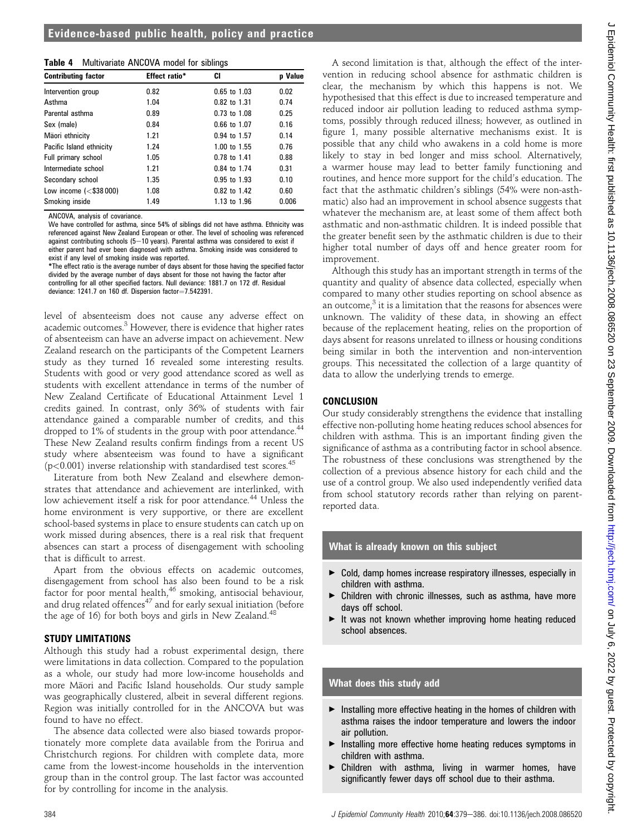#### Table 4 Multivariate ANCOVA model for siblings

| <b>Contributing factor</b> | <b>Effect ratio*</b> | CI               | <b>p</b> Value |
|----------------------------|----------------------|------------------|----------------|
| Intervention group         | 0.82                 | $0.65$ to $1.03$ | 0.02           |
| Asthma                     | 1.04                 | 0.82 to 1.31     | 0.74           |
| Parental asthma            | 0.89                 | $0.73$ to $1.08$ | 0.25           |
| Sex (male)                 | 0.84                 | 0.66 to 1.07     | 0.16           |
| Māori ethnicity            | 1.21                 | 0.94 to 1.57     | 0.14           |
| Pacific Island ethnicity   | 1.24                 | 1.00 to 1.55     | 0.76           |
| Full primary school        | 1.05                 | 0.78 to 1.41     | 0.88           |
| Intermediate school        | 1.21                 | 0.84 to 1.74     | 0.31           |
| Secondary school           | 1.35                 | $0.95$ to $1.93$ | 0.10           |
| Low income $(<$ \$38000)   | 1.08                 | 0.82 to 1.42     | 0.60           |
| Smoking inside             | 1.49                 | 1.13 to 1.96     | 0.006          |

ANCOVA, analysis of covariance.

We have controlled for asthma, since 54% of siblings did not have asthma. Ethnicity was referenced against New Zealand European or other. The level of schooling was referenced against contributing schools  $(5-10 \text{ years})$ . Parental asthma was considered to exist if either parent had ever been diagnosed with asthma. Smoking inside was considered to exist if any level of smoking inside was reported.

\*The effect ratio is the average number of days absent for those having the specified factor divided by the average number of days absent for those not having the factor after controlling for all other specified factors. Null deviance: 1881.7 on 172 df. Residual deviance:  $1241.7$  on  $160$  df. Dispersion factor=7.542391.

level of absenteeism does not cause any adverse effect on academic outcomes.<sup>3</sup> However, there is evidence that higher rates of absenteeism can have an adverse impact on achievement. New Zealand research on the participants of the Competent Learners study as they turned 16 revealed some interesting results. Students with good or very good attendance scored as well as students with excellent attendance in terms of the number of New Zealand Certificate of Educational Attainment Level 1 credits gained. In contrast, only 36% of students with fair attendance gained a comparable number of credits, and this dropped to  $1\%$  of students in the group with poor attendance.<sup>44</sup> These New Zealand results confirm findings from a recent US study where absenteeism was found to have a significant ( $p$ <0.001) inverse relationship with standardised test scores.<sup>45</sup>

Literature from both New Zealand and elsewhere demonstrates that attendance and achievement are interlinked, with low achievement itself a risk for poor attendance.<sup>44</sup> Unless the home environment is very supportive, or there are excellent school-based systems in place to ensure students can catch up on work missed during absences, there is a real risk that frequent absences can start a process of disengagement with schooling that is difficult to arrest.

Apart from the obvious effects on academic outcomes, disengagement from school has also been found to be a risk factor for poor mental health, $46$  smoking, antisocial behaviour, and drug related offences<sup>47</sup> and for early sexual initiation (before the age of 16) for both boys and girls in New Zealand. $48$ 

#### STUDY LIMITATIONS

Although this study had a robust experimental design, there were limitations in data collection. Compared to the population as a whole, our study had more low-income households and more Maori and Pacific Island households. Our study sample was geographically clustered, albeit in several different regions. Region was initially controlled for in the ANCOVA but was found to have no effect.

The absence data collected were also biased towards proportionately more complete data available from the Porirua and Christchurch regions. For children with complete data, more came from the lowest-income households in the intervention group than in the control group. The last factor was accounted for by controlling for income in the analysis.

A second limitation is that, although the effect of the intervention in reducing school absence for asthmatic children is clear, the mechanism by which this happens is not. We hypothesised that this effect is due to increased temperature and reduced indoor air pollution leading to reduced asthma symptoms, possibly through reduced illness; however, as outlined in figure 1, many possible alternative mechanisms exist. It is possible that any child who awakens in a cold home is more likely to stay in bed longer and miss school. Alternatively, a warmer house may lead to better family functioning and routines, and hence more support for the child's education. The fact that the asthmatic children's siblings (54% were non-asthmatic) also had an improvement in school absence suggests that whatever the mechanism are, at least some of them affect both asthmatic and non-asthmatic children. It is indeed possible that the greater benefit seen by the asthmatic children is due to their higher total number of days off and hence greater room for improvement.

Although this study has an important strength in terms of the quantity and quality of absence data collected, especially when compared to many other studies reporting on school absence as an outcome, $3$  it is a limitation that the reasons for absences were unknown. The validity of these data, in showing an effect because of the replacement heating, relies on the proportion of days absent for reasons unrelated to illness or housing conditions being similar in both the intervention and non-intervention groups. This necessitated the collection of a large quantity of data to allow the underlying trends to emerge.

#### **CONCLUSION**

Our study considerably strengthens the evidence that installing effective non-polluting home heating reduces school absences for children with asthma. This is an important finding given the significance of asthma as a contributing factor in school absence. The robustness of these conclusions was strengthened by the collection of a previous absence history for each child and the use of a control group. We also used independently verified data from school statutory records rather than relying on parentreported data.

#### What is already known on this subject

- ▶ Cold, damp homes increase respiratory illnesses, especially in children with asthma.
- Children with chronic illnesses, such as asthma, have more days off school.
- It was not known whether improving home heating reduced school absences.

#### What does this study add

- $\blacktriangleright$  Installing more effective heating in the homes of children with asthma raises the indoor temperature and lowers the indoor air pollution.
- $\blacktriangleright$  Installing more effective home heating reduces symptoms in children with asthma.
- $\blacktriangleright$  Children with asthma, living in warmer homes, have significantly fewer days off school due to their asthma.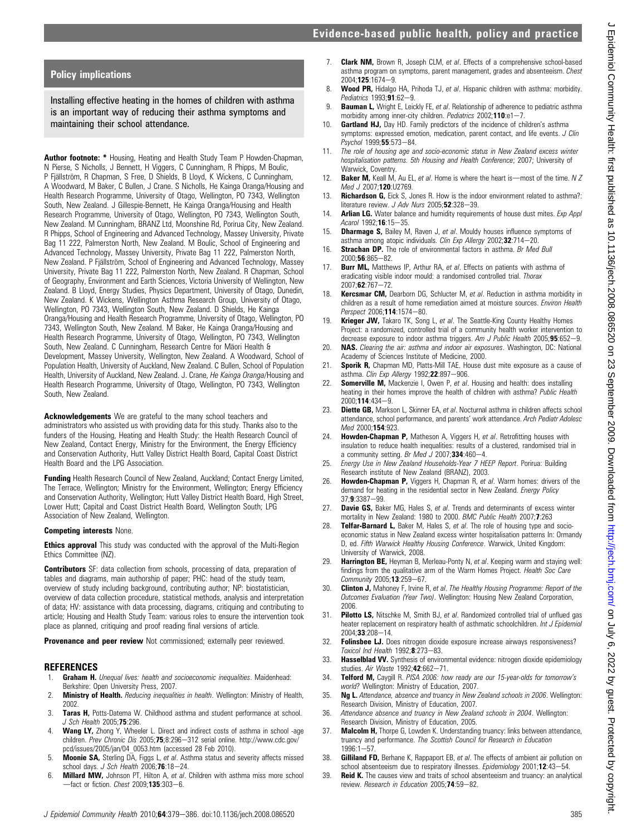## Policy implications

Installing effective heating in the homes of children with asthma is an important way of reducing their asthma symptoms and maintaining their school attendance.

Author footnote: \* Housing, Heating and Health Study Team P Howden-Chapman, N Pierse, S Nicholls, J Bennett, H Viggers, C Cunningham, R Phipps, M Boulic, P Fjällström, R Chapman, S Free, D Shields, B Lloyd, K Wickens, C Cunningham, A Woodward, M Baker, C Bullen, J Crane. S Nicholls, He Kainga Oranga/Housing and Health Research Programme, University of Otago, Wellington, PO 7343, Wellington South, New Zealand. J Gillespie-Bennett, He Kainga Oranga/Housing and Health Research Programme, University of Otago, Wellington, PO 7343, Wellington South, New Zealand. M Cunningham, BRANZ Ltd, Moonshine Rd, Porirua City, New Zealand. R Phipps, School of Engineering and Advanced Technology, Massey University, Private Bag 11 222, Palmerston North, New Zealand. M Boulic, School of Engineering and Advanced Technology, Massey University, Private Bag 11 222, Palmerston North, New Zealand. P Fjällström, School of Engineering and Advanced Technology, Massey University, Private Bag 11 222, Palmerston North, New Zealand. R Chapman, School of Geography, Environment and Earth Sciences, Victoria University of Wellington, New Zealand. B Lloyd, Energy Studies, Physics Department, University of Otago, Dunedin, New Zealand. K Wickens, Wellington Asthma Research Group, University of Otago, Wellington, PO 7343, Wellington South, New Zealand. D Shields, He Kainga Oranga/Housing and Health Research Programme, University of Otago, Wellington, PO 7343, Wellington South, New Zealand. M Baker, He Kainga Oranga/Housing and Health Research Programme, University of Otago, Wellington, PO 7343, Wellington South, New Zealand. C Cunningham, Research Centre for Maori Health & Development, Massey University, Wellington, New Zealand. A Woodward, School of Population Health, University of Auckland, New Zealand. C Bullen, School of Population Health, University of Auckland, New Zealand. J. Crane, He Kainga Oranga/Housing and Health Research Programme, University of Otago, Wellington, PO 7343, Wellington South, New Zealand.

Acknowledgements We are grateful to the many school teachers and administrators who assisted us with providing data for this study. Thanks also to the funders of the Housing, Heating and Health Study: the Health Research Council of New Zealand, Contact Energy, Ministry for the Environment, the Energy Efficiency and Conservation Authority, Hutt Valley District Health Board, Capital Coast District Health Board and the LPG Association.

Funding Health Research Council of New Zealand, Auckland; Contact Energy Limited, The Terrace, Wellington; Ministry for the Environment, Wellington; Energy Efficiency and Conservation Authority, Wellington; Hutt Valley District Health Board, High Street, Lower Hutt; Capital and Coast District Health Board, Wellington South; LPG Association of New Zealand, Wellington.

#### Competing interests None.

**Ethics approval** This study was conducted with the approval of the Multi-Region Ethics Committee (NZ).

Contributors SF: data collection from schools, processing of data, preparation of tables and diagrams, main authorship of paper; PHC: head of the study team, overview of study including background, contributing author; NP: biostatistician, overview of data collection procedure, statistical methods, analysis and interpretation of data; HV: assistance with data processing, diagrams, critiquing and contributing to article; Housing and Health Study Team: various roles to ensure the intervention took place as planned, critiquing and proof reading final versions of article.

Provenance and peer review Not commissioned; externally peer reviewed.

#### **REFERENCES**

- 1. Graham H. Unequal lives: health and socioeconomic inequalities. Maidenhead: Berkshire: Open University Press, 2007.
- 2. Ministry of Health. Reducing inequalities in health. Wellington: Ministry of Health, 2002.
- 3. Taras H, Potts-Datema W. Childhood asthma and student performance at school. J Sch Health 2005;75:296.
- 4. **Wang LY,** Zhong Y, Wheeler L. Direct and indirect costs of asthma in school -age children. Prev Chronic Dis 2005;75;8:296-312 serial online. http://www.cdc.gov/ pcd/issues/2005/jan/04\_0053.htm (accessed 28 Feb 2010).
- 5. **Moonie SA,** Sterling DA, Figgs L, et al. Asthma status and severity affects missed school days. J Sch Health  $2006:76:18-24$ .
- 6. **Millard MW,** Johnson PT, Hilton A, et al. Children with asthma miss more school fact or fiction. *Chest* 2009;135:303-6.
- 7. Clark NM, Brown B, Joseph CLM, et al. Effects of a comprehensive school-based asthma program on symptoms, parent management, grades and absenteeism. Chest 2004:125:1674-9.
- 8. Wood PR, Hidalgo HA, Prihoda TJ, et al. Hispanic children with asthma: morbidity. Pediatrics  $1993 \cdot 91 \cdot 62 - 9$ .
- 9. **Bauman L,** Wright E, Leickly FE, et al. Relationship of adherence to pediatric asthma morbidity among inner-city children. Pediatrics 2002;110:e1-7
- 10. **Gartland HJ,** Day HD. Family predictors of the incidence of children's asthma symptoms: expressed emotion, medication, parent contact, and life events. J Clin  $Ps$ ychol 1999; 55:573-84.
- 11. The role of housing age and socio-economic status in New Zealand excess winter hospitalisation patterns. 5th Housing and Health Conference; 2007; University of Warwick, Coventry.
- 12. **Baker M,** Keall M, Au EL, et al. Home is where the heart is-most of the time. N  $Z$ Med J 2007:120:U2769.
- 13. Richardson G, Eick S, Jones R. How is the indoor environment related to asthma?: literature review. J Adv Nurs 2005: $52:328-39$ .
- 14. Arlian LG. Water balance and humidity requirements of house dust mites. Exp Appl Acarol 1992;16:15-35.
- 15. **Dharmage S,** Bailey M, Raven J, et al. Mouldy houses influence symptoms of asthma among atopic individuals. Clin Exp Allergy 2002;32:714-20.
- 16. Strachan DP. The role of environmental factors in asthma. Br Med Bull  $2000;$ 56:865-82.
- 17. Burr ML, Matthews IP, Arthur RA, et al. Effects on patients with asthma of eradicating visible indoor mould: a randomised controlled trial. Thorax 2007;62:767-72
- 18. Kercsmar CM, Dearborn DG, Schlucter M, et al. Reduction in asthma morbidity in children as a result of home remediation aimed at moisture sources. Environ Health Perspect 2006;114:1574-80.
- 19. Krieger JW, Takaro TK, Song L, et al. The Seattle-King County Healthy Homes Project: a randomized, controlled trial of a community health worker intervention to decrease exposure to indoor asthma triggers. Am J Public Health 2005;95:652-9.
- 20. **NAS.** Clearing the air: asthma and indoor air exposures. Washington, DC: National Academy of Sciences Institute of Medicine, 2000.
- 21. **Sporik R.** Chapman MD, Platts-Mill TAE. House dust mite exposure as a cause of asthma. Clin Exp Allergy 1992;22:897-906.
- 22. Somerville M, Mackenzie I, Owen P, et al. Housing and health: does installing heating in their homes improve the health of children with asthma? Public Health  $2000 \cdot 114 \cdot 434 - 9$
- 23. Diette GB, Markson L, Skinner EA, et al. Nocturnal asthma in children affects school attendance, school performance, and parents' work attendance. Arch Pediatr Adolesc Med 2000:154:923.
- 24. Howden-Chapman P, Matheson A, Viggers H, et al. Retrofitting houses with insulation to reduce health inequalities: results of a clustered, randomised trial in a community setting. Br Med  $\dot{J}$  2007; 334:460-4.
- 25. Energy Use in New Zealand Households-Year 7 HEEP Report. Porirua: Building Research institute of New Zealand (BRANZ), 2003.
- 26. Howden-Chapman P, Viggers H, Chapman R, et al. Warm homes: drivers of the demand for heating in the residential sector in New Zealand. Energy Policy  $37:9:3387 - 99.$
- 27. Davie GS, Baker MG, Hales S, et al. Trends and determinants of excess winter mortality in New Zealand: 1980 to 2000. BMC Public Health 2007;7:263
- 28. Telfar-Barnard L, Baker M, Hales S, et al. The role of housing type and socioeconomic status in New Zealand excess winter hospitalisation patterns In: Ormandy D, ed. Fifth Warwick Healthy Housing Conference. Warwick, United Kingdom: University of Warwick, 2008.
- 29. Harrington BE, Heyman B, Merleau-Ponty N, et al. Keeping warm and staying well: findings from the qualitative arm of the Warm Homes Project. Health Soc Care Community 2005;13:259-67.
- 30. **Clinton J**, Mahoney F, Irvine R, et al. The Healthy Housing Programme: Report of the Outcomes Evaluation (Year Two). Wellington: Housing New Zealand Corporation, 2006.
- 31. Pilotto LS, Nitschke M, Smith BJ, et al. Randomized controlled trial of unflued gas heater replacement on respiratory health of asthmatic schoolchildren. Int J Epidemiol 2004;33:208-14.
- 32. Folinsbee LJ. Does nitrogen dioxide exposure increase airways responsiveness? Toxicol Ind Health 1992;8:273-83.
- 33. Hasselblad VV. Synthesis of environmental evidence: nitrogen dioxide epidemiology studies. Air Waste 1992;42:662-71.
- 34. **Telford M,** Caygill R. PISA 2006: how ready are our 15-year-olds for tomorrow's world? Wellington: Ministry of Education, 2007.
- 35. Ng L. Attendance, absence and truancy in New Zealand schools in 2006. Wellington: Research Division, Ministry of Education, 2007.
- 36. Attendance absence and truancy in New Zealand schools in 2004. Wellington: Research Division, Ministry of Education, 2005.
- 37. Malcolm H, Thorpe G, Lowden K. Understanding truancy: links between attendance, truancy and performance. The Scottish Council for Research in Education  $1996:1 - 57$
- 38. Gilliland FD, Berhane K, Rappaport EB, et al. The effects of ambient air pollution on school absenteeism due to respiratory illnesses. Epidemiology 2001;12:43-54.
- 39. Reid K. The causes view and traits of school absenteeism and truancy: an analytical review. Research in Education 2005;74:59-82.